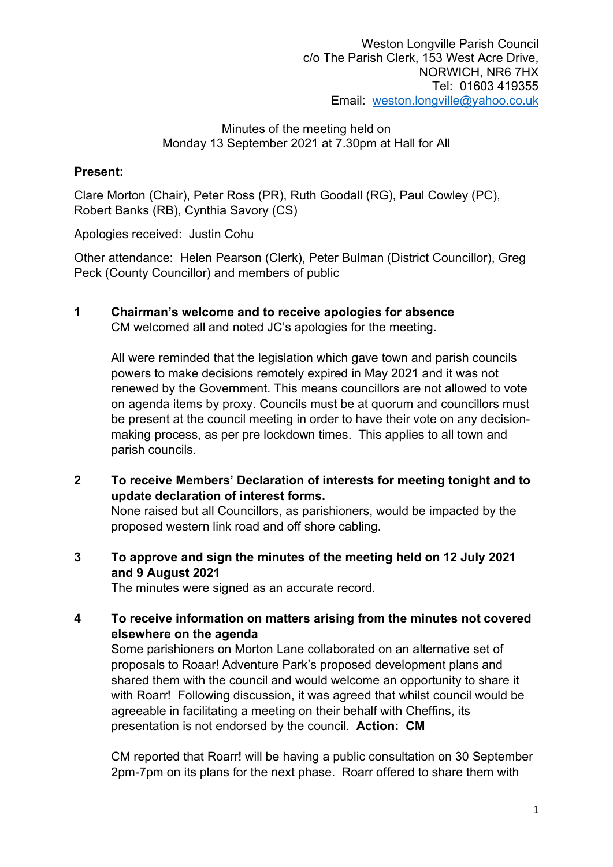# Present:

Clare Morton (Chair), Peter Ross (PR), Ruth Goodall (RG), Paul Cowley (PC), Robert Banks (RB), Cynthia Savory (CS)

Apologies received: Justin Cohu

Other attendance: Helen Pearson (Clerk), Peter Bulman (District Councillor), Greg Peck (County Councillor) and members of public

1 Chairman's welcome and to receive apologies for absence

CM welcomed all and noted JC's apologies for the meeting.

All were reminded that the legislation which gave town and parish councils powers to make decisions remotely expired in May 2021 and it was not renewed by the Government. This means councillors are not allowed to vote on agenda items by proxy. Councils must be at quorum and councillors must be present at the council meeting in order to have their vote on any decisionmaking process, as per pre lockdown times. This applies to all town and parish councils.

2 To receive Members' Declaration of interests for meeting tonight and to update declaration of interest forms.

None raised but all Councillors, as parishioners, would be impacted by the proposed western link road and off shore cabling.

3 To approve and sign the minutes of the meeting held on 12 July 2021 and 9 August 2021

The minutes were signed as an accurate record.

4 To receive information on matters arising from the minutes not covered elsewhere on the agenda

Some parishioners on Morton Lane collaborated on an alternative set of proposals to Roaar! Adventure Park's proposed development plans and shared them with the council and would welcome an opportunity to share it with Roarr! Following discussion, it was agreed that whilst council would be agreeable in facilitating a meeting on their behalf with Cheffins, its presentation is not endorsed by the council. Action: CM

CM reported that Roarr! will be having a public consultation on 30 September 2pm-7pm on its plans for the next phase. Roarr offered to share them with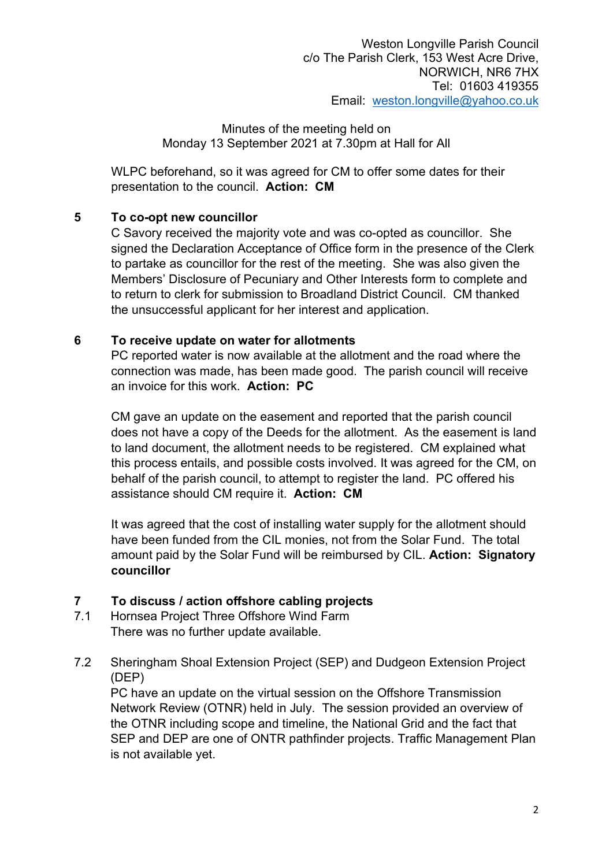WLPC beforehand, so it was agreed for CM to offer some dates for their presentation to the council. Action: CM

# 5 To co-opt new councillor

C Savory received the majority vote and was co-opted as councillor. She signed the Declaration Acceptance of Office form in the presence of the Clerk to partake as councillor for the rest of the meeting. She was also given the Members' Disclosure of Pecuniary and Other Interests form to complete and to return to clerk for submission to Broadland District Council. CM thanked the unsuccessful applicant for her interest and application.

# 6 To receive update on water for allotments

PC reported water is now available at the allotment and the road where the connection was made, has been made good. The parish council will receive an invoice for this work. Action: PC

CM gave an update on the easement and reported that the parish council does not have a copy of the Deeds for the allotment. As the easement is land to land document, the allotment needs to be registered. CM explained what this process entails, and possible costs involved. It was agreed for the CM, on behalf of the parish council, to attempt to register the land. PC offered his assistance should CM require it. Action: CM

It was agreed that the cost of installing water supply for the allotment should have been funded from the CIL monies, not from the Solar Fund. The total amount paid by the Solar Fund will be reimbursed by CIL. Action: Signatory councillor

# 7 To discuss / action offshore cabling projects

- 7.1 Hornsea Project Three Offshore Wind Farm There was no further update available.
- 7.2 Sheringham Shoal Extension Project (SEP) and Dudgeon Extension Project (DEP)

PC have an update on the virtual session on the Offshore Transmission Network Review (OTNR) held in July. The session provided an overview of the OTNR including scope and timeline, the National Grid and the fact that SEP and DEP are one of ONTR pathfinder projects. Traffic Management Plan is not available yet.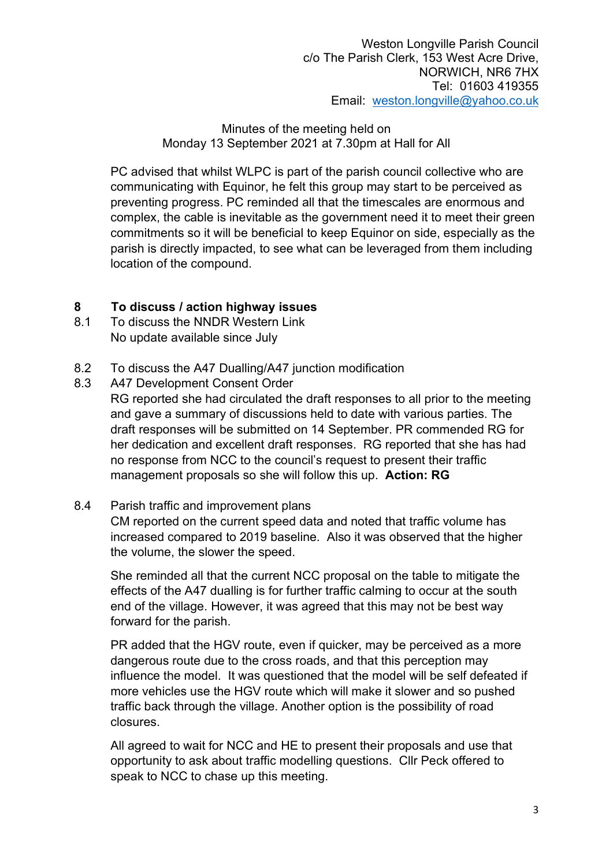PC advised that whilst WLPC is part of the parish council collective who are communicating with Equinor, he felt this group may start to be perceived as preventing progress. PC reminded all that the timescales are enormous and complex, the cable is inevitable as the government need it to meet their green commitments so it will be beneficial to keep Equinor on side, especially as the parish is directly impacted, to see what can be leveraged from them including location of the compound.

# 8 To discuss / action highway issues

- 8.1 To discuss the NNDR Western Link No update available since July
- 8.2 To discuss the A47 Dualling/A47 junction modification
- 8.3 A47 Development Consent Order

RG reported she had circulated the draft responses to all prior to the meeting and gave a summary of discussions held to date with various parties. The draft responses will be submitted on 14 September. PR commended RG for her dedication and excellent draft responses. RG reported that she has had no response from NCC to the council's request to present their traffic management proposals so she will follow this up. Action: RG

#### 8.4 Parish traffic and improvement plans

CM reported on the current speed data and noted that traffic volume has increased compared to 2019 baseline. Also it was observed that the higher the volume, the slower the speed.

She reminded all that the current NCC proposal on the table to mitigate the effects of the A47 dualling is for further traffic calming to occur at the south end of the village. However, it was agreed that this may not be best way forward for the parish.

PR added that the HGV route, even if quicker, may be perceived as a more dangerous route due to the cross roads, and that this perception may influence the model. It was questioned that the model will be self defeated if more vehicles use the HGV route which will make it slower and so pushed traffic back through the village. Another option is the possibility of road closures.

All agreed to wait for NCC and HE to present their proposals and use that opportunity to ask about traffic modelling questions. Cllr Peck offered to speak to NCC to chase up this meeting.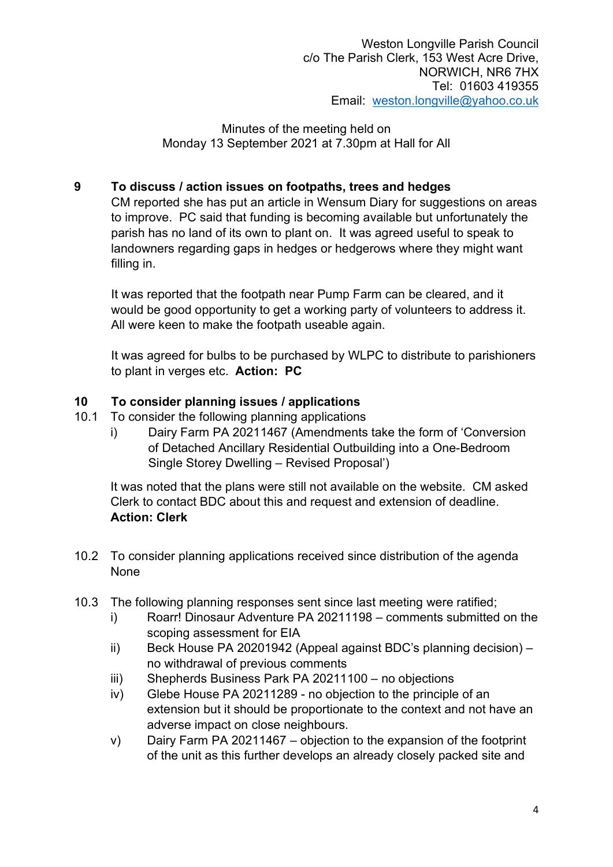# 9 To discuss / action issues on footpaths, trees and hedges

CM reported she has put an article in Wensum Diary for suggestions on areas to improve. PC said that funding is becoming available but unfortunately the parish has no land of its own to plant on. It was agreed useful to speak to landowners regarding gaps in hedges or hedgerows where they might want filling in.

It was reported that the footpath near Pump Farm can be cleared, and it would be good opportunity to get a working party of volunteers to address it. All were keen to make the footpath useable again.

It was agreed for bulbs to be purchased by WLPC to distribute to parishioners to plant in verges etc. Action: PC

# 10 To consider planning issues / applications

- 10.1 To consider the following planning applications
	- i) Dairy Farm PA 20211467 (Amendments take the form of 'Conversion of Detached Ancillary Residential Outbuilding into a One-Bedroom Single Storey Dwelling – Revised Proposal')

It was noted that the plans were still not available on the website. CM asked Clerk to contact BDC about this and request and extension of deadline. Action: Clerk

- 10.2 To consider planning applications received since distribution of the agenda None
- 10.3 The following planning responses sent since last meeting were ratified;
	- i) Roarr! Dinosaur Adventure PA 20211198 comments submitted on the scoping assessment for EIA
	- ii) Beck House PA 20201942 (Appeal against BDC's planning decision) no withdrawal of previous comments
	- iii) Shepherds Business Park PA 20211100 no objections
	- iv) Glebe House PA 20211289 no objection to the principle of an extension but it should be proportionate to the context and not have an adverse impact on close neighbours.
	- v) Dairy Farm PA 20211467 objection to the expansion of the footprint of the unit as this further develops an already closely packed site and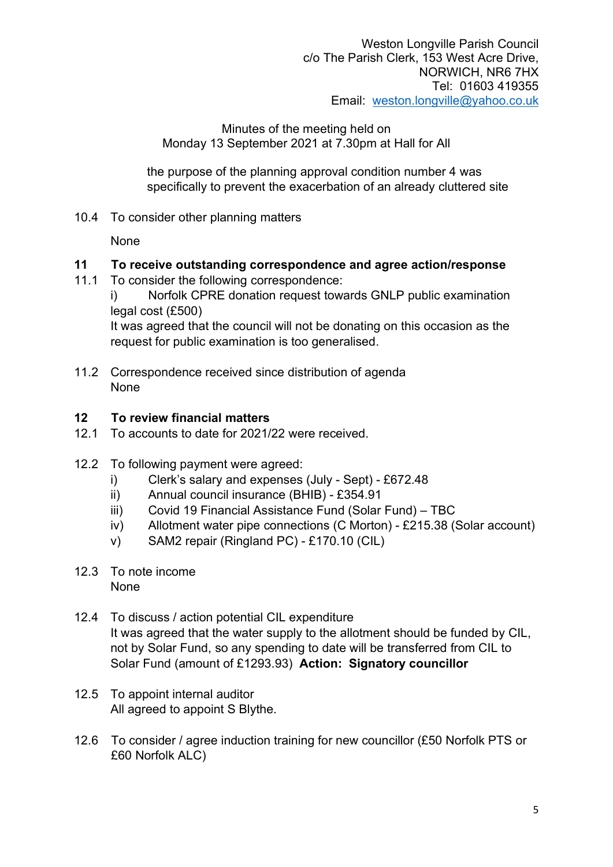the purpose of the planning approval condition number 4 was specifically to prevent the exacerbation of an already cluttered site

10.4 To consider other planning matters

None

# 11 To receive outstanding correspondence and agree action/response

11.1 To consider the following correspondence:

i) Norfolk CPRE donation request towards GNLP public examination legal cost (£500)

It was agreed that the council will not be donating on this occasion as the request for public examination is too generalised.

11.2 Correspondence received since distribution of agenda None

# 12 To review financial matters

- 12.1 To accounts to date for 2021/22 were received.
- 12.2 To following payment were agreed:
	- i) Clerk's salary and expenses (July Sept) £672.48
	- ii) Annual council insurance (BHIB) £354.91
	- iii) Covid 19 Financial Assistance Fund (Solar Fund) TBC
	- iv) Allotment water pipe connections (C Morton) £215.38 (Solar account)
	- v) SAM2 repair (Ringland PC) £170.10 (CIL)
- 12.3 To note income None
- 12.4 To discuss / action potential CIL expenditure It was agreed that the water supply to the allotment should be funded by CIL, not by Solar Fund, so any spending to date will be transferred from CIL to Solar Fund (amount of £1293.93) Action: Signatory councillor
- 12.5 To appoint internal auditor All agreed to appoint S Blythe.
- 12.6 To consider / agree induction training for new councillor (£50 Norfolk PTS or £60 Norfolk ALC)